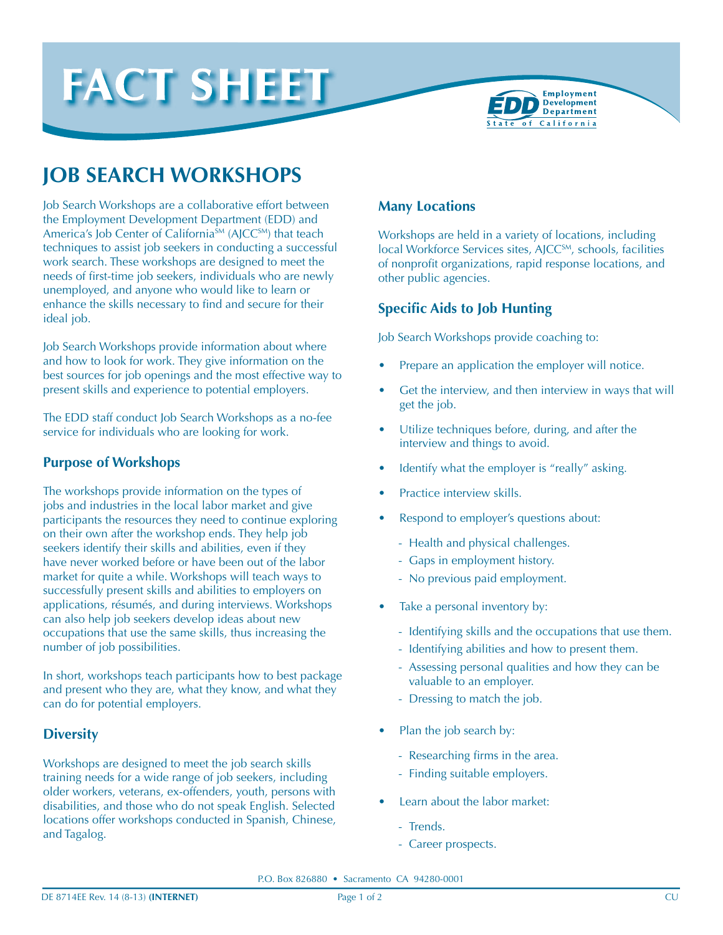



# **JOB SEARCH WORKSHOPS**

Job Search Workshops are a collaborative effort between the Employment Development Department (EDD) and America's Job Center of California<sup>SM</sup> (AJCC<sup>SM</sup>) that teach techniques to assist job seekers in conducting a successful work search. These workshops are designed to meet the needs of first-time job seekers, individuals who are newly unemployed, and anyone who would like to learn or enhance the skills necessary to find and secure for their ideal job.

Job Search Workshops provide information about where and how to look for work. They give information on the best sources for job openings and the most effective way to present skills and experience to potential employers.

The EDD staff conduct Job Search Workshops as a no-fee service for individuals who are looking for work.

## **Purpose of Workshops**

The workshops provide information on the types of jobs and industries in the local labor market and give participants the resources they need to continue exploring on their own after the workshop ends. They help job seekers identify their skills and abilities, even if they have never worked before or have been out of the labor market for quite a while. Workshops will teach ways to successfully present skills and abilities to employers on applications, résumés, and during interviews. Workshops can also help job seekers develop ideas about new occupations that use the same skills, thus increasing the number of job possibilities.

In short, workshops teach participants how to best package and present who they are, what they know, and what they can do for potential employers.

## **Diversity**

Workshops are designed to meet the job search skills training needs for a wide range of job seekers, including older workers, veterans, ex-offenders, youth, persons with disabilities, and those who do not speak English. Selected locations offer workshops conducted in Spanish, Chinese, and Tagalog.

### **Many Locations**

Workshops are held in a variety of locations, including local Workforce Services sites, AJCC<sup>SM</sup>, schools, facilities of nonprofit organizations, rapid response locations, and other public agencies.

## **Specific Aids to Job Hunting**

Job Search Workshops provide coaching to:

- Prepare an application the employer will notice.
- Get the interview, and then interview in ways that will get the job.
- Utilize techniques before, during, and after the interview and things to avoid.
- Identify what the employer is "really" asking.
- Practice interview skills.
- Respond to employer's questions about:
	- Health and physical challenges.
	- Gaps in employment history.
	- No previous paid employment.
- Take a personal inventory by:
	- Identifying skills and the occupations that use them.
	- Identifying abilities and how to present them.
	- Assessing personal qualities and how they can be valuable to an employer.
	- Dressing to match the job.
- Plan the job search by:
	- Researching firms in the area.
	- Finding suitable employers.
- Learn about the labor market:
	- Trends.
	- Career prospects.